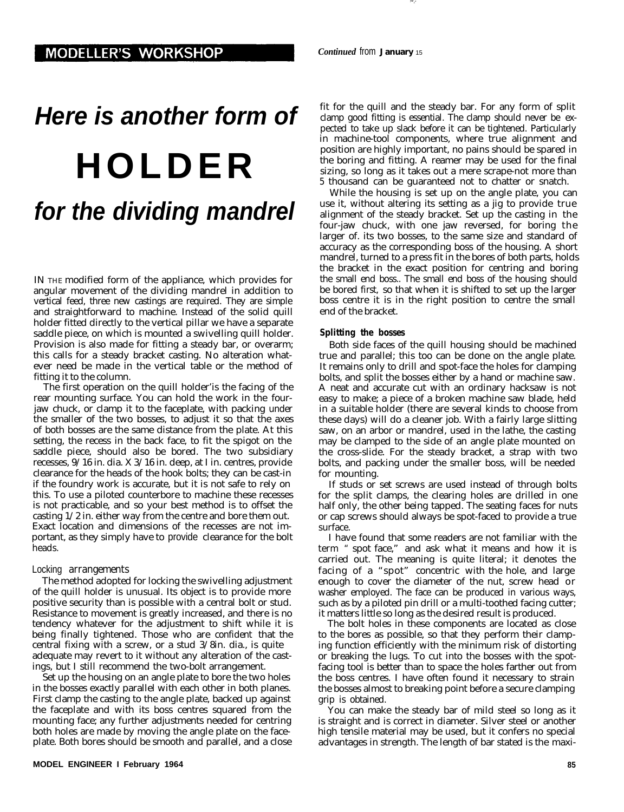# *Here is another form of* **HOLDER** *for the dividing mandrel*

IN THE modified form of the appliance, which provides for angular movement of the dividing mandrel in addition to vertical feed, three new castings are required. They are simple and straightforward to machine. Instead of the solid quill holder fitted directly to the vertical pillar we have a separate saddle piece, on which is mounted a swivelling quill holder. Provision is also made for fitting a steady bar, or overarm; this calls for a steady bracket casting. No alteration whatever need be made in the vertical table or the method of fitting it to the column.

The first operation on the quill holder'is the facing of the rear mounting surface. You can hold the work in the fourjaw chuck, or clamp it to the faceplate, with packing under the smaller of the two bosses, to adjust it so that the axes of both bosses are the same distance from the plate. At this setting, the recess in the back face, to fit the spigot on the saddle piece, should also be bored. The two subsidiary recesses, 9/16 in. dia. X 3/16 in. deep, at I in. centres, provide clearance for the heads of the hook bolts; they can be cast-in if the foundry work is accurate, but it is not safe to rely on this. To use a piloted counterbore to machine these recesses is not practicable, and so your best method is to offset the casting 1/2 in. either way from the centre and bore them out. Exact location and dimensions of the recesses are not important, as they simply have to provide clearance for the bolt heads.

## Locking arrangements

The method adopted for locking the swivelling adjustment of the quill holder is unusual. Its object is to provide more positive security than is possible with a central bolt or stud. Resistance to movement is greatly increased, and there is no tendency whatever for the adjustment to shift while it is being finally tightened. Those who are confident that the central fixing with a screw, or a stud 3/8in. dia., is quite adequate may revert to it without any alteration of the castings, but I still recommend the two-bolt arrangement.

Set up the housing on an angle plate to bore the two holes in the bosses exactly parallel with each other in both planes. First clamp the casting to the angle plate, backed up against the faceplate and with its boss centres squared from the mounting face; any further adjustments needed for centring both holes are made by moving the angle plate on the faceplate. Both bores should be smooth and parallel, and a close

fit for the quill and the steady bar. For any form of split clamp good fitting is essential. The clamp should never be expected to take up slack before it can be tightened. Particularly in machine-tool components, where true alignment and position are highly important, no pains should be spared in the boring and fitting. A reamer may be used for the final sizing, so long as it takes out a mere scrape-not more than 5 thousand can be guaranteed not to chatter or snatch.

While the housing is set up on the angle plate, you can use it, without altering its setting as a jig to provide true alignment of the steady bracket. Set up the casting in the four-jaw chuck, with one jaw reversed, for boring the larger of. its two bosses, to the same size and standard of accuracy as the corresponding boss of the housing. A short mandrel, turned to a press fit in the bores of both parts, holds the bracket in the exact position for centring and boring the small end boss.. The small end boss of the housing should be bored first, so that when it is shifted to set up the larger boss centre it is in the right position to centre the small end of the bracket.

#### **Splitting the bosses**

Both side faces of the quill housing should be machined true and parallel; this too can be done on the angle plate. It remains only to drill and spot-face the holes for clamping bolts, and split the bosses either by a hand or machine saw. A neat and accurate cut with an ordinary hacksaw is not easy to make; a piece of a broken machine saw blade, held in a suitable holder (there are several kinds to choose from these days) will do a cleaner job. With a fairly large slitting saw, on an arbor or mandrel, used in the lathe, the casting may be clamped to the side of an angle plate mounted on the cross-slide. For the steady bracket, a strap with two bolts, and packing under the smaller boss, will be needed for mounting.

If studs or set screws are used instead of through bolts for the split clamps, the clearing holes are drilled in one half only, the other being tapped. The seating faces for nuts or cap screws should always be spot-faced to provide a true surface.

I have found that some readers are not familiar with the term " spot face," and ask what it means and how it is carried out. The meaning is quite literal; it denotes the facing of a "spot" concentric with the hole, and large enough to cover the diameter of the nut, screw head or washer employed. The face can be produced in various ways, such as by a piloted pin drill or a multi-toothed facing cutter; it matters little so long as the desired result is produced.

The bolt holes in these components are located as close to the bores as possible, so that they perform their clamping function efficiently with the minimum risk of distorting or breaking the lugs. To cut into the bosses with the spotfacing tool is better than to space the holes farther out from the boss centres. I have often found it necessary to strain the bosses almost to breaking point before a secure clamping grip is obtained.

You can make the steady bar of mild steel so long as it is straight and is correct in diameter. Silver steel or another high tensile material may be used, but it confers no special advantages in strength. The length of bar stated is the maxi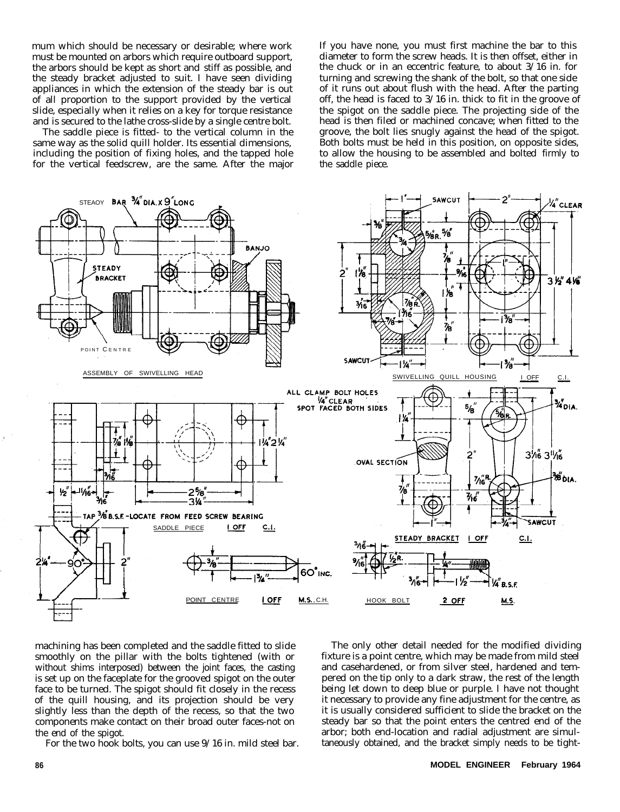mum which should be necessary or desirable; where work must be mounted on arbors which require outboard support, the arbors should be kept as short and stiff as possible, and the steady bracket adjusted to suit. I have seen dividing appliances in which the extension of the steady bar is out of all proportion to the support provided by the vertical slide, especially when it relies on a key for torque resistance and is secured to the lathe cross-slide by a single centre bolt.

The saddle piece is fitted- to the vertical column in the same way as the solid quill holder. Its essential dimensions, including the position of fixing holes, and the tapped hole for the vertical feedscrew, are the same. After the major If you have none, you must first machine the bar to this diameter to form the screw heads. It is then offset, either in the chuck or in an eccentric feature, to about 3/16 in. for turning and screwing the shank of the bolt, so that one side of it runs out about flush with the head. After the parting off, the head is faced to 3/16 in. thick to fit in the groove of the spigot on the saddle piece. The projecting side of the head is then filed or machined concave; when fitted to the groove, the bolt lies snugly against the head of the spigot. Both bolts must be held in this position, on opposite sides, to allow the housing to be assembled and bolted firmly to the saddle piece.



machining has been completed and the saddle fitted to slide smoothly on the pillar with the bolts tightened (with or without shims interposed) between the joint faces, the casting is set up on the faceplate for the grooved spigot on the outer face to be turned. The spigot should fit closely in the recess of the quill housing, and its projection should be very slightly less than the depth of the recess, so that the two components make contact on their broad outer faces-not on the end of the spigot.

For the two hook bolts, you can use 9/16 in. mild steel bar.

The only other detail needed for the modified dividing fixture is a point centre, which may be made from mild steel and casehardened, or from silver steel, hardened and tempered on the tip only to a dark straw, the rest of the length being let down to deep blue or purple. I have not thought it necessary to provide any fine adjustment for the centre, as it is usually considered sufficient to slide the bracket on the steady bar so that the point enters the centred end of the arbor; both end-location and radial adjustment are simultaneously obtained, and the bracket simply needs to be tight